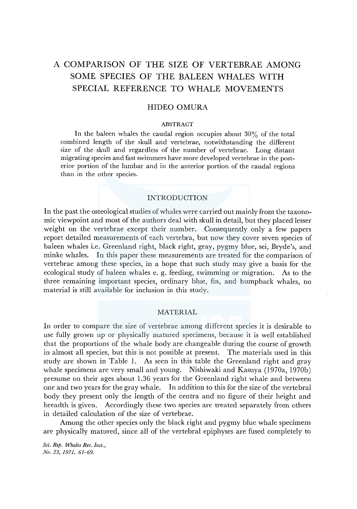# A COMPARISON OF THE SIZE OF VERTEBRAE AMONG SOME SPECIES OF THE BALEEN WHALES WITH SPECIAL REFERENCE TO WHALE MOVEMENTS

# HIDEO OMURA

# ABSTRACT

In the baleen whales the caudal region occupies about  $30\%$  of the total combined length of the skull and vertebrae, notwithstanding the different size of the skull and regardless of the number of vertebrae. Long distant migrating species and fast swimmers have more developed vertebrae in the posterior portion of the lumbar and in the anterior portion of the caudal regions than in the other species.

# INTRODUCTION

In the past the osteological studies of whales were carried out mainly from the taxonomic viewpoint and most of the authors deal with skull in detail, but they placed lesser weight on the vertebrae except their number. Consequently only a few papers report detailed measurements of each vertebra, but now they cover seven species of baleen whales i.e. Greenland right, black right, gray, pygmy blue, sei, Bryde's, and minke whales. In this paper these measurements are treated for the comparison of vertebrae among these species, in a hope that such study may give a basis for the ecological study of baleen whales e. g. feeding, swimming or migration. As to the three remaining important species, ordinary blue, fin, and humpback whales, no material is still available for inclusion in this study.

# MATERIAL

In order to compare the size of vertebrae among different species it is desirable to use fully grown up or physically matured specimens, because it is well established that the proportions of the whale body are changeable during the course of growth in almost all species, but this is not possible at present. The materials used in this study are shown in Table 1. As seen in this table the Greenland right and gray whale specimens are very small and young. Nishiwaki and Kasuya (1970a, 1970b) presume on their ages about 1.36 years for the Greenland right whale and between one and two years for the gray whale. In addition to this for the size of the vertebral body they present only the length of the centra and no figure of their height and breadth is given. Accordingly these two species are treated separately from others in detailed calculation of the size of vertebrae.

Among the other species only the black right and pygmy blue whale specimens are physically matured, since all of the vertebral epiphyses are fused completely to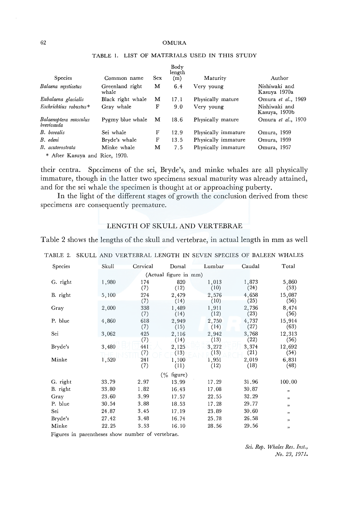#### 62 OMURA

| Species                                 | Common name              | <b>Sex</b> | Body<br>length<br>(m) | Maturity            | Author                         |
|-----------------------------------------|--------------------------|------------|-----------------------|---------------------|--------------------------------|
| Balaena mysticetus                      | Greenland right<br>whale | м          | 6.4                   | Very young          | Nishiwaki and<br>Kasuya 1970a  |
| Eubalaena glacialis                     | Black right whale        | M          | 17.1                  | Physically mature   | Omura et al., 1969             |
| $Eschrichius$ robustus $*$              | Gray whale               | F          | 9.0                   | Very young          | Nishiwaki and<br>Kasuya, 1970b |
| Balaenoptera musculus<br>brevicauda     | Pygmy blue whale         | м          | 18.6                  | Physically mature   | Omura et al., 1970             |
| <b>B.</b> borealis                      | Sei whale                | F          | 12.9                  | Physically immature | Omura, 1959                    |
| B. edeni                                | Bryde's whale            | F          | 13.5                  | Physically immature | Omura, 1959                    |
| B. acutorostrata                        | Minke whale              | м          | 7.5                   | Physically immature | Omura, 1957                    |
| $*$ After $V$ cause and $D^*$ is $1070$ |                          |            |                       |                     |                                |

# TABLE I. LIST OF MATERIALS USED IN THIS STUDY

\* After Kasuya and Rice, 1970.

their centra. Specimens of the sei, Bryde's, and minke whales are all physically immature, though in the latter two specimens sexual maturity was already attained, and for the sei whale the specimen is thought at or approaching puberty.

In the light of the different stages of growth the conclusion derived from these specimens are consequently premature.

# LENGTH OF SKULL AND VERTEBRAE

Table 2 shows the lengths of the skull and vertebrae, in actual length in mm as well

| TABLE 2. |       |            |                       | SKULL AND VERTEBRAL LENGTH IN SEVEN SPECIES OF BALEEN WHALE |               |                |
|----------|-------|------------|-----------------------|-------------------------------------------------------------|---------------|----------------|
| Species  | Skull | Cervical   | Dorsal                | Lumbar                                                      | Caudal        | Total          |
|          |       |            | (Actual figure in mm) |                                                             |               |                |
| G. right | 1,980 | 174<br>(7) | 820<br>(12)           | 1,013<br>(10)                                               | 1,873<br>(24) | 5,860<br>(53)  |
| B. right | 5,100 | 274<br>(7) | 2,479<br>(14)         | 2,576<br>(10)                                               | 4,658<br>(25) | 15,087<br>(56) |
| Gray     | 2,000 | 338<br>(7) | 1,489<br>(14)         | 1,911<br>(12)                                               | 2,736<br>(23) | 8,474<br>(56)  |
| P. blue  | 4,860 | 618<br>(7) | 2,949<br>(15)         | 2,750<br>(14)                                               | 4,737<br>(27) | 15,914<br>(63) |
| Sei      | 3,062 | 425<br>(7) | 2.116<br>(14)         | 2,942<br>(13)                                               | 3,768<br>(22) | 12,313<br>(56) |
| Bryde's  | 3,480 | 441<br>(7) | 2,125<br>(13)         | 3.272<br>(13)                                               | 3,374<br>(21) | 12,692<br>(54) |
| Minke    | 1,520 | 241<br>(7) | 1,100<br>(11)         | 1,951<br>(12)                                               | 2,019<br>(18) | 6,831<br>(48)  |
|          |       |            | (% figure)            |                                                             |               |                |
| G. right | 33.79 | 2.97       | 13.99                 | 17.29                                                       | 31.96         | 100.00         |
| B. right | 33.80 | 1,82       | 16.43                 | 17.08                                                       | 30.87         | $, \,$         |
| Gray     | 23.60 | 3.99       | 17.57                 | 22.55                                                       | 32.29         | ,              |
| P. blue  | 30.54 | 3.88       | 18.53                 | 17.28                                                       | 29.77         | ,,             |
| Sei      | 24.87 | 3.45       | 17.19                 | 23.89                                                       | 30.60         | ,              |
| Bryde's  | 27.42 | 3.48       | 16.74                 | 25.78                                                       | 26,58         | ,              |
| Minke    | 22.25 | 3.53       | 16.10                 | 28.56                                                       | 29,56         | "              |

TABLE 2. SKULL AND VERTEBRAL LENGTH IN SEVEN SPECIES OF BALEEN WHALES

Figures in parentheses show number of vertebrae.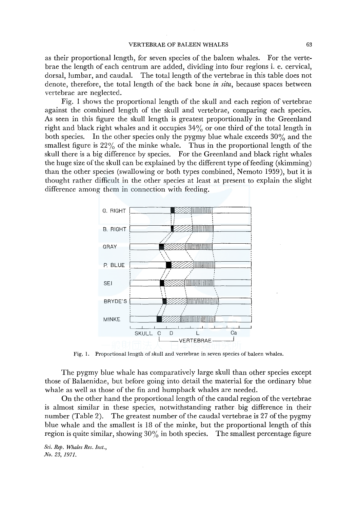#### **VERTEBRAE OF BALEEN WHALES**

as their proportional length, for seven species of the baleen whales. For the vertebrae the length of each centrum are added, dividing into four regions i. e. cervical, dorsal, lumbar, and caudal. The total length of the vertebrae in this table does not denote, therefore, the total length of the back bone in situ, because spaces between vertebrae are neglected.

Fig. 1 shows the proportional length of the skull and each region of vertebrae against the combined length of the skull and vertebrae, comparing each species. As seen in this figure the skull length is greatest proportionally in the Greenland right and black right whales and it occupies  $34\%$  or one third of the total length in both species. In the other species only the pygmy blue whale exceeds  $30\%$  and the smallest figure is  $22\%$  of the minke whale. Thus in the proportional length of the skull there is a big difference by species. For the Greenland and black right whales the huge size of the skull can be explained by the different type of feeding (skimming) than the other species (swallowing or both types combined, Nemoto 1959), but it is thought rather difficult in the other species at least at present to explain the slight difference among them in connection with feeding.



Fig. 1. Proportional length of skull and vertebrae in seven species of baleen whales.

The pygmy blue whale has comparatively large skull than other species except those of Balaenidae, but before going into detail the material for the ordinary blue whale as well as those of the fin and humpback whales are needed.

On the other hand the proportional length of the caudal region of the vertebrae is almost similar in these species, notwithstanding rather big difference in their number (Table 2). The greatest number of the caudal vertebrae is 27 of the pygmy blue whale and the smallest is 18 of the minke, but the proportional length of this region is quite similar, showing  $30\%$  in both species. The smallest percentage figure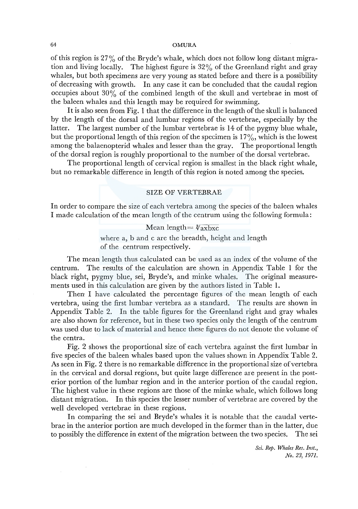of this region is 27% of the Bryde's whale, which does not follow long distant migration and living locally. The highest figure is 32% of the Greenland right and gray whales, but both specimens are very young as stated before and there is a possibility of decreasing with growth. In any case it can be concluded that the caudal region occupies about  $30\%$  of the combined length of the skull and vertebrae in most of the baleen whales and this length may be required for swimming.

It is also seen from Fig. 1 that the difference in the length of the skull is balanced by the length of the dorsal and lumbar regions of the vertebrae, especially by the latter. The largest number of the lumbar vertebrae is 14 of the pygmy blue whale, but the proportional length of this region of the specimen is  $17\%$ , which is the lowest among the balaenopterid whales and lesser than the gray. The proportional length of the dorsal region is roughly proportional to the number of the dorsal vertebrae.

The proportional length of cervical region is smallest in the black right whale, but no remarkable difference in length of this region is noted among the species.

#### SIZE OF VERTEBRAE

In order to compare the size of each vertebra among the species of the baleen whales I made calculation of the mean length of the centrum using the following formula:

> Mean length=  $\sqrt[3]{\text{axbxc}}$ where a, b and c are the breadth, height and length of the centrum respectively.

The mean length thus calculated can be used as an index of the volume of the centrum. The results of the calculation are shown in Appendix Table 1 for the black right, pygmy blue, sei, Bryde's, and minke whales. The original measurements used in this calculation are given by the authors listed in Table 1.

Then I have calculated the percentage figures of the mean length of each vertebra, using the first lumbar vertebra as a standard. The results are shown in Appendix Table 2. In the table figures for the Greenland right and gray whales are also shown for reference, but in these two species only the length of the centrum was used due to lack of material and hence these figures do not denote the volume of the centra.

Fig. 2 shows the proportional size of each vertebra against the first lumbar in five species of the baleen whales based upon the values shown in Appendix Table 2. As seen in Fig. 2 there is no remarkable difference in the proportional size of vertebra in the cervical and dorsal regions, but quite large difference are present in the posterior portion of the lumbar region and in the anterior portion of the caudal region. The highest value in these regions are those of the minke whale, which follows long distant migration. In this species the lesser number of vertebrae are covered by the well developed vertebrae in these regions.

In comparing the sei and Bryde's whales it is notable that the caudal vertebrae in the anterior portion are much developed in the former than in the latter, due to possibly the difference in extent of the migration between the two species. The sei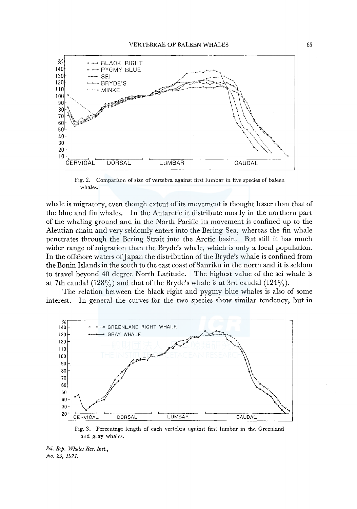

Fig, 2. Comparison of size of vertebra against first lumbar in five species of baleen whales.

whale is migratory, even though extent of its movement is thought lesser than that of the blue and fin whales. In the Antarctic it distribute mostly in the northern part of the whaling ground and in the North Pacific its movement is confined up to the Aleutian chain and very seldomly enters into the Bering Sea, whereas the fin whale penetrates through the Bering Strait into the Arctic basin. But still it has much wider range of migration than the Bryde's whale, which is only a local population. In the offshore waters of Japan the distribution of the Bryde's whale is confined from the Bonin Islands in the south to the east coast ofSanriku in the north and it is seldom to travel beyond 40 degree North Latitude. The highest value of the sei whale is at 7th caudal (128%) and that of the Bryde's whale is at 3rd caudal (124%).

The relation between the black right and pygmy blue whales is also of some interest. In general the curves for the two species show similar tendency, but in



Fig. 3. Percentage length of each vertebra against first lumbar in the Greenland and gray whales.

*Sci. Rep. Whales Res. Inst., No. 23, 1971.*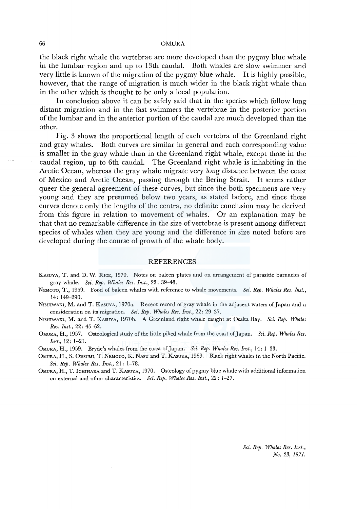#### 66 OMURA

the black right whale the vertebrae are more developed than the pygmy blue whale in the lumbar region and up to 13th caudal. Both whales are slow swimmer and very little is known of the migration of the pygmy blue whale. It is highly possible, however, that the range of migration is much wider in the black right whale than in the other which is thought to be only a local population.

In conclusion above it can be safely said that in the species which follow long distant migration and in the fast swimmers the vertebrae in the posterior portion of the lumbar and in the anterior portion of the caudal are much developed than the other.

Fig. 3 shows the proportional length of each vertebra of the Greenland right and gray whales. Both curves are similar in general and each corresponding value is smaller in the gray whale than in the Greenland right whale, except those in the caudal region, up to 6th caudal. The Greenland right whale is inhabiting in the Arctic Ocean, whereas the gray whale migrate very long distance between the coast of Mexico and Arctic Ocean, passing through the Bering Strait. It seems rather queer the general agreement of these curves, but since the both specimens are very young and they are presumed below two years, as stated before, and since these curves denote only the lengths of the centra, no definite conclusion may be derived from this figure in relation to movement of whales. Or an explanation may be that that no remarkable difference in the size of vertebrae is present among different species of whales when they are young and the difference in size noted before are developed during the course of growth of the whale body.

#### REFERENCES

- KAsuYA, T. and D. W. RICE, 1970. Notes on baleen plates and on arrangement of parasitic barnacles of gray whale. *Sci. Rep. Whales Res. Inst.,* 22: 39-43.
- NEMOTO, T., 1959. Food of baleen whales with reference to whale movements. *Sci. Rep. Whales Res. Inst.,*  14: 149-290.
- NISHIWAKI, M. and T. KASUYA, 1970a. Recent record of gray whale in the adjacent waters of Japan and a consideration on its migration. *Sci. Rep. Whales Res. Inst.,* 22: 29-37.
- N1sHIWAKI, M. and T. KASUYA, 1970b. A Greenland right whale caught at Osaka Bay. *Sci. Rep. Whales Res. Inst.,* 22: 45-62.
- OMURA, H., 1957. Osteological study of the little piked whale from the coast of.Japan. *Sci. Rep. Whales Res. Inst.,* 12: 1-21.

OMURA, H., 1959. Bryde's whales from the coast of.Japan. *Sci. Rep. Whales Res. Inst.,* 14: 1-33.

- OMURA, H., S. 0HSUMI, T. NEMOTO, K. NAsu and T. KAsUYA, 1969. Black right whales in the North Pacific. *Sci. Rep. Whales Res. Inst.,* 21: 1-78.
- OMURA, H., T. lcHIHARA and T. KASUYA, 1970. Osteology of pygmy blue whale with additional information on external and other characteristics. *Sci. Rep. Whales Res. Inst.,* 22: 1-27.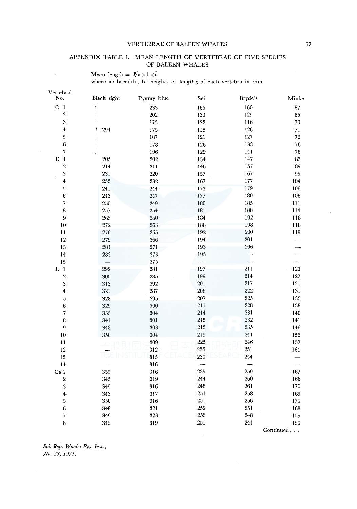# VERTEBRAE OF BALEEN WHALES 67

## APPENDIX TABLE I. MEAN LENGTH OF VERTEBRAE OF FIVE SPECIES OF BALEEN WHALES

Mean length  $= \sqrt[3]{a \times b \times c}$ 

 $\Delta \sim 10^{-11}$ 

where a: breadth; b: height; c: length; of each vertebra in mm.

| Vertebral<br>No.        | Black right        | Pygmy blue | Sei                      | Bryde's | Minke     |
|-------------------------|--------------------|------------|--------------------------|---------|-----------|
| C <sub>1</sub>          |                    | 233        | 165                      | 160     | 87        |
| $\overline{2}$          |                    | 202        | 133                      | 129     | 85        |
| 3                       |                    | 173        | 122                      | 116     | 70        |
| $\boldsymbol{4}$        | 294                | 175        | 118                      | 126     | 71        |
| $\overline{5}$          |                    | 187        | 121                      | 127     | 72        |
| 6                       |                    | 178        | 126                      | 133     | 76        |
| $\overline{7}$          |                    | 196        | 129                      | 141     | 78        |
| $D_1$                   | 205                | 202        | 134                      | 147     | 83        |
| $\sqrt{2}$              | 214                | 211        | 146                      | 157     | 89        |
| 3                       | 231                | 220        | 157                      | 167     | 95        |
| 4                       | 253                | 232        | 167                      | 177     | 104       |
| 5                       | $241\,$            | 244        | 173                      | 179     | 106       |
| $\epsilon$              | 243                | 247        | 177                      | 180     | 106       |
| 7                       | $250\,$            | 249        | 180                      | 185     | $111\,$   |
| $\bf 8$                 | 257                | 254        | 181                      | 188     | 114       |
| $9\,$                   | $265\,$            | 260        | 184                      | 192     | 118       |
| $10\,$                  | $272\,$            | 263        | 188                      | 198     | 118       |
| 11                      | 276                | 265        | 192                      | 200     | 119       |
| 12                      | 279                | 266        | 194                      | 201     |           |
| 13                      | 281                | 271        | 193                      | 206     |           |
| $14\,$                  | $\boldsymbol{283}$ | 273        | 195                      | ---     |           |
| 15                      |                    | 275        | $\overline{\phantom{0}}$ |         | --        |
| $L_1$                   | 292                | 281        | 197                      | 211     | 123       |
| $\overline{\mathbf{2}}$ | $300\,$            | 285        | 199                      | 214     | 127       |
| 3                       | 313                | 292        | 201                      | 217     | 131       |
| $\overline{\mathbf{4}}$ | 321                | 287        | 206                      | 222     | 131       |
| $\overline{5}$          | 328                | 295        | 207                      | 225     | 135       |
| $\overline{6}$          | 329                | 300        | $21\,\mathrm{I}$         | 228     | 138       |
| $\overline{7}$          | 333                | 304        | 214                      | 231     | 140       |
| 8                       | 341                | 301        | 215                      | 232     | 141       |
| 9                       | 348                | 303        | 215                      | 235     | 146       |
| $10\,$                  | 350                | 304        | 219                      | 241     | 152       |
| 11                      |                    | 309        | 225                      | 246     | 157       |
| 12                      |                    | 312        | 235                      | 251     | 164       |
| 13                      | 二                  | 315        | 230                      | 254     |           |
| 14                      |                    | 316        |                          |         |           |
| Ca l                    | 352                | 316        | 239                      | 259     | 167       |
| $\,2\,$                 | 345                | 319        | 244                      | 260     | 166       |
| $\bf 3$                 | 349                | 316        | 248                      | 261     | 170       |
| $4-$                    | 343                | 317        | 251                      | 258     | 169       |
| $\,$ 5 $\,$             | 350                | 316        | 251                      | 256     | 170       |
| $\bf 6$                 | 348                | 321        | 252                      | 251     | 168       |
| $\overline{7}$          | 349                | 323        | 253                      | 248     | 159       |
| 8                       | 345                | 319        | 251                      | 241     | 150       |
|                         |                    |            |                          |         | Continued |
|                         |                    |            |                          |         |           |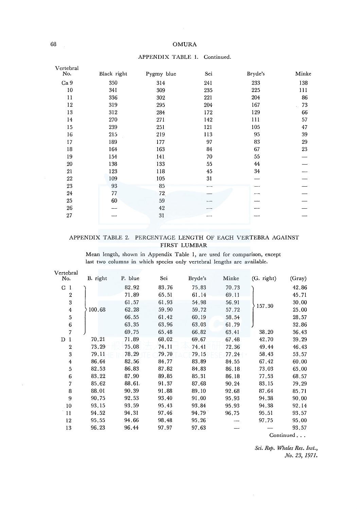# 68 OMURA

| Vertebral       |             |            |                 |                |       |
|-----------------|-------------|------------|-----------------|----------------|-------|
| No.             | Black right | Pygmy blue | Sei             | Bryde's        | Minke |
| Ca <sub>9</sub> | 350         | 314        | 241             | 233            | 138   |
| 10              | 341         | 309        | 235             | 225            | 111   |
| 11              | 336         | 302        | 221             | 204            | 86    |
| 12              | 319         | 295        | 204             | 167            | 73    |
| 13              | 312         | 284        | 172             | 129            | 66    |
| 14              | 270         | 271        | 142             | 111            | 57    |
| 15              | 239         | 251        | 121             | 105            | 47    |
| 16              | 215         | 219        | 113             | 95             | 39    |
| 17              | 189         | 177        | 97              | 83             | 29    |
| 18              | 164         | 163        | 84              | 67             | 23    |
| 19              | 154         | 141        | 70              | 55             |       |
| 20              | 138         | 133        | 55              | 44             |       |
| 21              | 123         | 118        | 45              | 34             |       |
| 22              | 109         | 105        | 31              |                |       |
| 23              | 93          | 85         |                 | <b>Concert</b> |       |
| 24              | 77          | 72         |                 |                |       |
| 25              | 60          | 59         |                 |                |       |
| 26              |             | 42         | <b>Building</b> |                |       |
| 27              |             | 31         |                 | $- - -$        |       |
|                 |             |            |                 |                |       |

#### APPENDIX TABLE !. Continued.

# APPENDIX TABLE 2. PERCENTAGE LENGTH OF EACH VERTEBRA AGAINST FIRST LUMBAR

Mean length, shown in Appendix Table 1, are used for comparison, except last two columns in which species only vertebral lengths are available.

| B. right | P. blue | Sei   | Bryde's | Minke | (G. right) | (Gray) |
|----------|---------|-------|---------|-------|------------|--------|
|          | 82.92   | 83.76 | 75.83   | 70.73 |            | 42.86  |
|          | 71.89   | 65.51 | 61.14   | 69.11 |            | 45.71  |
|          | 61.57   | 61.93 | 54.98   | 56.91 |            | 30.00  |
| 100.68   | 62.28   | 59.90 | 59.72   | 57.72 |            | 25,00  |
|          | 66.55   | 61,42 | 60,19   | 58.54 |            | 28.57  |
|          | 63.35   | 63.96 | 63.03   | 61.79 |            | 32.86  |
|          | 69.75   | 65.48 | 66.82   | 63.41 | 38,20      | 36.43  |
| 70.21    | 71.89   | 68,02 | 69.67   | 67.48 | 42.70      | 39.29  |
| 73.29    | 75.08   | 74.11 | 74.41   | 72.36 | 49.44      | 46.43  |
| 79.11    | 78.29   | 79.70 | 79.15   | 77.24 | 58.43      | 53,57  |
| 86.64    | 82.56   | 84.77 | 83.89   | 84.55 | 67.42      | 60.00  |
| 82.53    | 86.83   | 87.82 | 84.83   | 86.18 | 73.03      | 65.00  |
| 83.22    | 87.90   | 89.85 | 85,31   | 86.18 | 77.53      | 68.57  |
| 85.62    | 88.61.  | 91.37 | 87.68   | 90.24 | 83.15      | 79.29  |
| 88.01    | 90.39   | 91.88 | 89.10   | 92.68 | 87.64      | 85.71  |
| 90.75    | 92.53   | 93.40 | 91.00   | 95.93 | 94.38      | 90.00  |
| 93.15    | 93.59   | 95.43 | 93.84   | 95.93 | 94.38      | 92.14  |
| 94.52    | 94.31   | 97.46 | 94.79   | 96.75 | 95.51      | 93.57  |
| 95,55    | 94.66   | 98.48 | 95,26   |       | 97.75      | 95.00  |
| 96.23    | 96.44   | 97.97 | 97.63   |       |            | 93.57  |
|          |         |       |         |       |            | 157.30 |

Continued ...